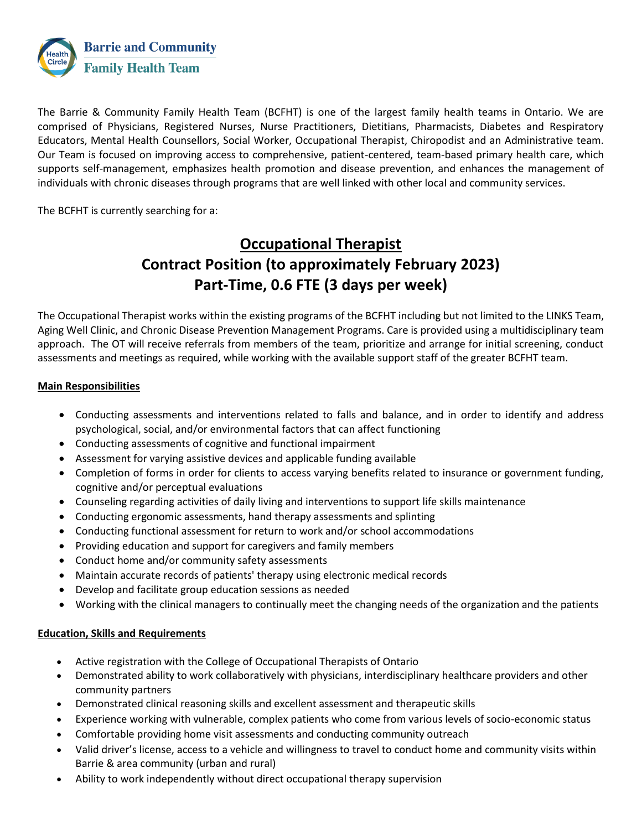

The Barrie & Community Family Health Team (BCFHT) is one of the largest family health teams in Ontario. We are comprised of Physicians, Registered Nurses, Nurse Practitioners, Dietitians, Pharmacists, Diabetes and Respiratory Educators, Mental Health Counsellors, Social Worker, Occupational Therapist, Chiropodist and an Administrative team. Our Team is focused on improving access to comprehensive, patient-centered, team-based primary health care, which supports self-management, emphasizes health promotion and disease prevention, and enhances the management of individuals with chronic diseases through programs that are well linked with other local and community services.

The BCFHT is currently searching for a:

# **Occupational Therapist Contract Position (to approximately February 2023) Part-Time, 0.6 FTE (3 days per week)**

The Occupational Therapist works within the existing programs of the BCFHT including but not limited to the LINKS Team, Aging Well Clinic, and Chronic Disease Prevention Management Programs. Care is provided using a multidisciplinary team approach. The OT will receive referrals from members of the team, prioritize and arrange for initial screening, conduct assessments and meetings as required, while working with the available support staff of the greater BCFHT team.

## **Main Responsibilities**

- Conducting assessments and interventions related to falls and balance, and in order to identify and address psychological, social, and/or environmental factors that can affect functioning
- Conducting assessments of cognitive and functional impairment
- Assessment for varying assistive devices and applicable funding available
- Completion of forms in order for clients to access varying benefits related to insurance or government funding, cognitive and/or perceptual evaluations
- Counseling regarding activities of daily living and interventions to support life skills maintenance
- Conducting ergonomic assessments, hand therapy assessments and splinting
- Conducting functional assessment for return to work and/or school accommodations
- Providing education and support for caregivers and family members
- Conduct home and/or community safety assessments
- Maintain accurate records of patients' therapy using electronic medical records
- Develop and facilitate group education sessions as needed
- Working with the clinical managers to continually meet the changing needs of the organization and the patients

## **Education, Skills and Requirements**

- Active registration with the College of Occupational Therapists of Ontario
- Demonstrated ability to work collaboratively with physicians, interdisciplinary healthcare providers and other community partners
- Demonstrated clinical reasoning skills and excellent assessment and therapeutic skills
- Experience working with vulnerable, complex patients who come from various levels of socio-economic status
- Comfortable providing home visit assessments and conducting community outreach
- Valid driver's license, access to a vehicle and willingness to travel to conduct home and community visits within Barrie & area community (urban and rural)
- Ability to work independently without direct occupational therapy supervision